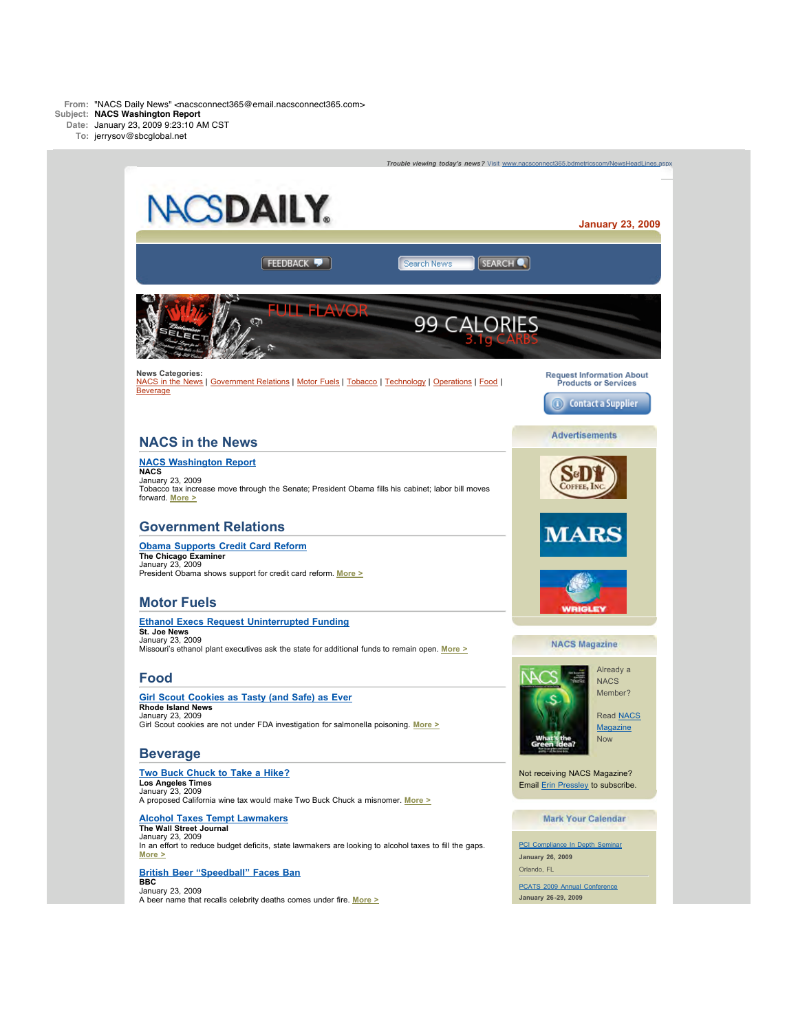

**January 23, 2009**



In an effort to reduce budget deficits, state lawmakers are looking to alcohol taxes to fill the gaps. **[More >](http://bdmetrics.lyris.net/t/1350417/1953125/8875825/0/?4efe4b8c=TlRjeU5ETTJOdz09LWdDYWdTODFHWU80PQ%3d%3d&x=4c9d51c4)**

#### **[British Beer "Speedball" Faces Ban](http://bdmetrics.lyris.net/t/1350417/1953125/8875826/0/?4efe4b8c=TlRjeU5ETTJOdz09LWdDYWdTODFHWU80PQ%3d%3d&x=de4ba914) BBC**

January 23, 2009 A beer name that recalls celebrity deaths comes under fire. **[More >](http://bdmetrics.lyris.net/t/1350417/1953125/8875826/0/?4efe4b8c=TlRjeU5ETTJOdz09LWdDYWdTODFHWU80PQ%3d%3d&x=de4ba914)** **January 26, 2009** Orlando, FL

[PCATS 2009 Annual Conference](http://bdmetrics.lyris.net/t/1350417/1953125/8874214/0/) **January 26-29, 2009**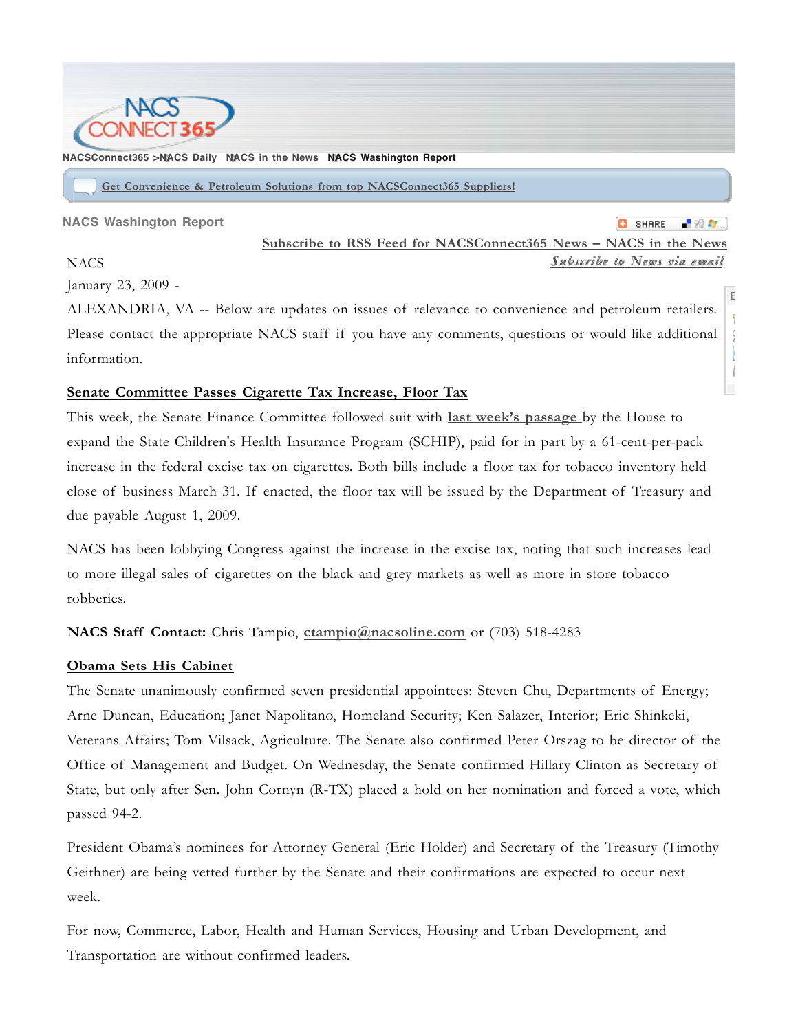

### **NACSConnect365 >NACS Daily NACS in the News NACS Washington Report**

**Get Convenience & Petroleum Solutions from top NACSConnect365 Suppliers!**

**NACS Washington Report**

**C** SHARE **Subscribe to RSS Feed for NACSConnect365 News – NACS in the News** *SSuubbssccrriibbee ttoo NNeewwss vviiaa eemmaaiill*

Bookmark & Share

I ł

**NACS** 

January 23, 2009 -

ALEXANDRIA, VA -- Below are updates on issues of relevance to convenience and petroleum retailers. Please contact the appropriate NACS staff if you have any comments, questions or would like additional information.

# **Senate Committee Passes Cigarette Tax Increase, Floor Tax**

This week, the Senate Finance Committee followed suit with **last week's passage** by the House to expand the State Children's Health Insurance Program (SCHIP), paid for in part by a 61-cent-per-pack increase in the federal excise tax on cigarettes. Both bills include a floor tax for tobacco inventory held close of business March 31. If enacted, the floor tax will be issued by the Department of Treasury and due payable August 1, 2009.

NACS has been lobbying Congress against the increase in the excise tax, noting that such increases lead to more illegal sales of cigarettes on the black and grey markets as well as more in store tobacco robberies.

# **NACS Staff Contact:** Chris Tampio, **ctampio@nacsoline.com** or (703) 518-4283

## **Obama Sets His Cabinet**

The Senate unanimously confirmed seven presidential appointees: Steven Chu, Departments of Energy; Arne Duncan, Education; Janet Napolitano, Homeland Security; Ken Salazer, Interior; Eric Shinkeki, Veterans Affairs; Tom Vilsack, Agriculture. The Senate also confirmed Peter Orszag to be director of the Office of Management and Budget. On Wednesday, the Senate confirmed Hillary Clinton as Secretary of State, but only after Sen. John Cornyn (R-TX) placed a hold on her nomination and forced a vote, which passed 94-2.

President Obama's nominees for Attorney General (Eric Holder) and Secretary of the Treasury (Timothy Geithner) are being vetted further by the Senate and their confirmations are expected to occur next week.

For now, Commerce, Labor, Health and Human Services, Housing and Urban Development, and Transportation are without confirmed leaders.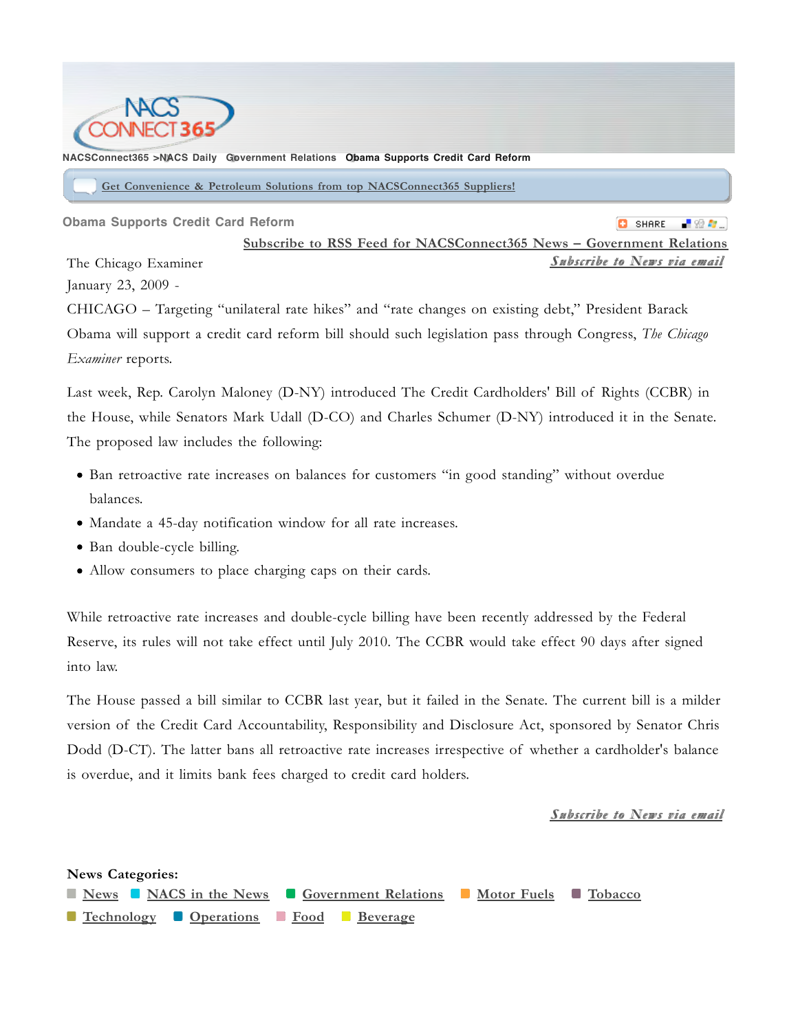

**NACSConnect365 >NACS Daily Government Relations Obama Supports Credit Card Reform**

**Get Convenience & Petroleum Solutions from top NACSConnect365 Suppliers!**

**Obama Supports Credit Card Reform**

**C** SHARE -82 A

**Subscribe to RSS Feed for NACSConnect365 News – Government Relations** *SSuubbssccrriibbee ttoo NNeewwss vviiaa eemmaaiill* The Chicago Examiner January 23, 2009 -

CHICAGO – Targeting "unilateral rate hikes" and "rate changes on existing debt," President Barack Obama will support a credit card reform bill should such legislation pass through Congress, *The Chicago Examiner* reports.

Last week, Rep. Carolyn Maloney (D-NY) introduced The Credit Cardholders' Bill of Rights (CCBR) in the House, while Senators Mark Udall (D-CO) and Charles Schumer (D-NY) introduced it in the Senate. The proposed law includes the following:

- Ban retroactive rate increases on balances for customers "in good standing" without overdue balances.
- Mandate a 45-day notification window for all rate increases.
- Ban double-cycle billing.
- Allow consumers to place charging caps on their cards.

While retroactive rate increases and double-cycle billing have been recently addressed by the Federal Reserve, its rules will not take effect until July 2010. The CCBR would take effect 90 days after signed into law.

The House passed a bill similar to CCBR last year, but it failed in the Senate. The current bill is a milder version of the Credit Card Accountability, Responsibility and Disclosure Act, sponsored by Senator Chris Dodd (D-CT). The latter bans all retroactive rate increases irrespective of whether a cardholder's balance is overdue, and it limits bank fees charged to credit card holders.

# *SSuubbssccrriibbee ttoo NNeewwss vviiaa eemmaaiill*

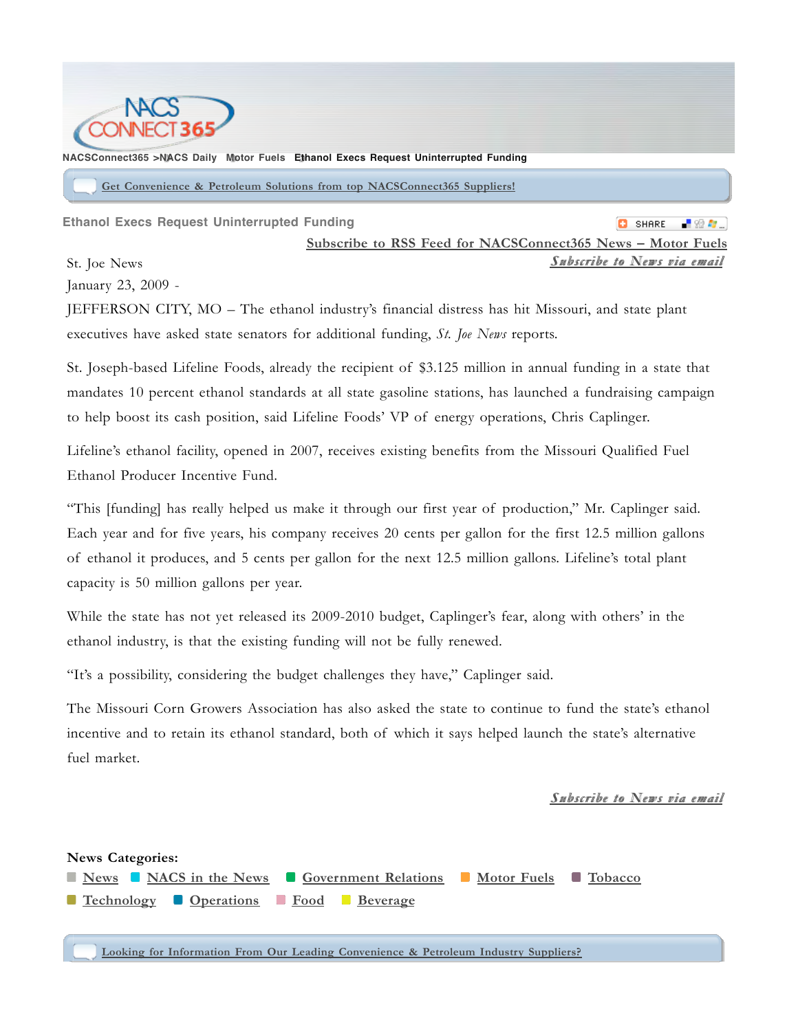

**NACSConnect365 >NACS Daily Motor Fuels Ethanol Execs Request Uninterrupted Funding**

**Get Convenience & Petroleum Solutions from top NACSConnect365 Suppliers!**

**Ethanol Execs Request Uninterrupted Funding**

**C** SHARE

St. Joe News

**Subscribe to RSS Feed for NACSConnect365 News – Motor Fuels** *SSuubbssccrriibbee ttoo NNeewwss vviiaa eemmaaiill*

January 23, 2009 -

JEFFERSON CITY, MO – The ethanol industry's financial distress has hit Missouri, and state plant executives have asked state senators for additional funding, *St. Joe News* reports.

St. Joseph-based Lifeline Foods, already the recipient of \$3.125 million in annual funding in a state that mandates 10 percent ethanol standards at all state gasoline stations, has launched a fundraising campaign to help boost its cash position, said Lifeline Foods' VP of energy operations, Chris Caplinger.

Lifeline's ethanol facility, opened in 2007, receives existing benefits from the Missouri Qualified Fuel Ethanol Producer Incentive Fund.

"This [funding] has really helped us make it through our first year of production," Mr. Caplinger said. Each year and for five years, his company receives 20 cents per gallon for the first 12.5 million gallons of ethanol it produces, and 5 cents per gallon for the next 12.5 million gallons. Lifeline's total plant capacity is 50 million gallons per year.

While the state has not yet released its 2009-2010 budget, Caplinger's fear, along with others' in the ethanol industry, is that the existing funding will not be fully renewed.

"It's a possibility, considering the budget challenges they have," Caplinger said.

The Missouri Corn Growers Association has also asked the state to continue to fund the state's ethanol incentive and to retain its ethanol standard, both of which it says helped launch the state's alternative fuel market.

*SSuubbssccrriibbee ttoo NNeewwss vviiaa eemmaaiill*



**Looking for Information From Our Leading Convenience & Petroleum Industry Suppliers?**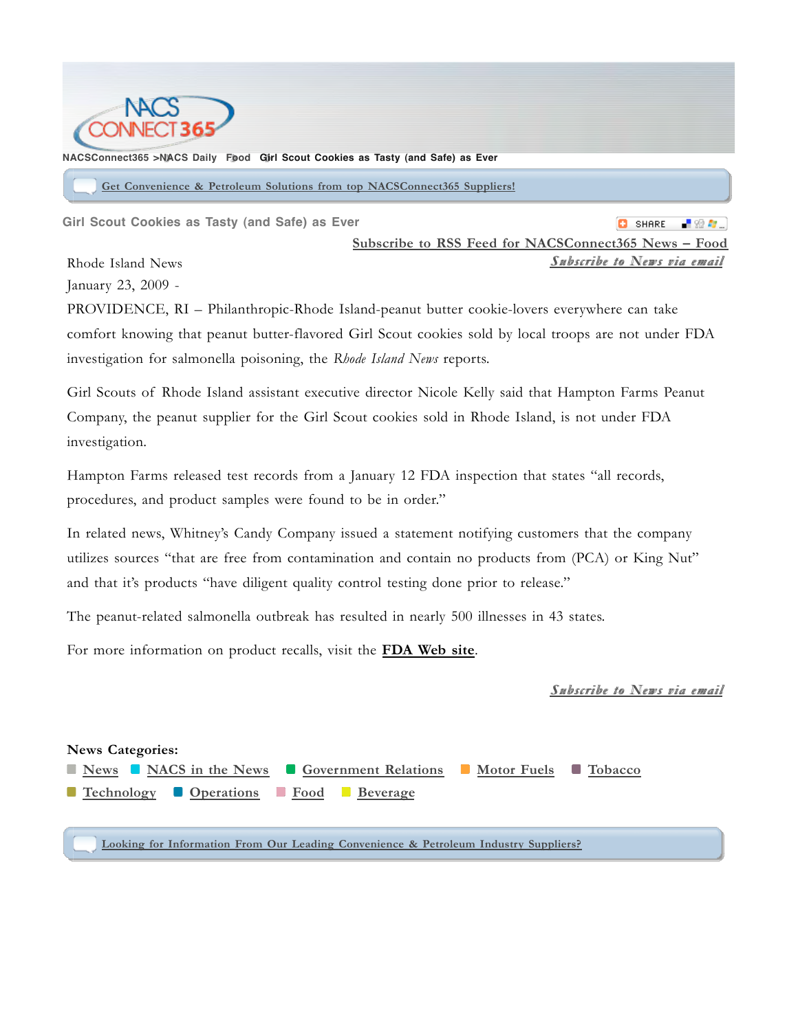

### **NACSConnect365 >NACS Daily Food Girl Scout Cookies as Tasty (and Safe) as Ever**

**Get Convenience & Petroleum Solutions from top NACSConnect365 Suppliers!**

**Girl Scout Cookies as Tasty (and Safe) as Ever**

**C** SHARE **A** 80 A **Subscribe to RSS Feed for NACSConnect365 News – Food** *SSuubbssccrriibbee ttoo NNeewwss vviiaa eemmaaiill*

Rhode Island News

January 23, 2009 -

PROVIDENCE, RI – Philanthropic-Rhode Island-peanut butter cookie-lovers everywhere can take comfort knowing that peanut butter-flavored Girl Scout cookies sold by local troops are not under FDA investigation for salmonella poisoning, the *Rhode Island News* reports.

Girl Scouts of Rhode Island assistant executive director Nicole Kelly said that Hampton Farms Peanut Company, the peanut supplier for the Girl Scout cookies sold in Rhode Island, is not under FDA investigation.

Hampton Farms released test records from a January 12 FDA inspection that states "all records, procedures, and product samples were found to be in order."

In related news, Whitney's Candy Company issued a statement notifying customers that the company utilizes sources "that are free from contamination and contain no products from (PCA) or King Nut" and that it's products "have diligent quality control testing done prior to release."

The peanut-related salmonella outbreak has resulted in nearly 500 illnesses in 43 states.

For more information on product recalls, visit the **FDA Web site**.

*SSuubbssccrriibbee ttoo NNeewwss vviiaa eemmaaiill*

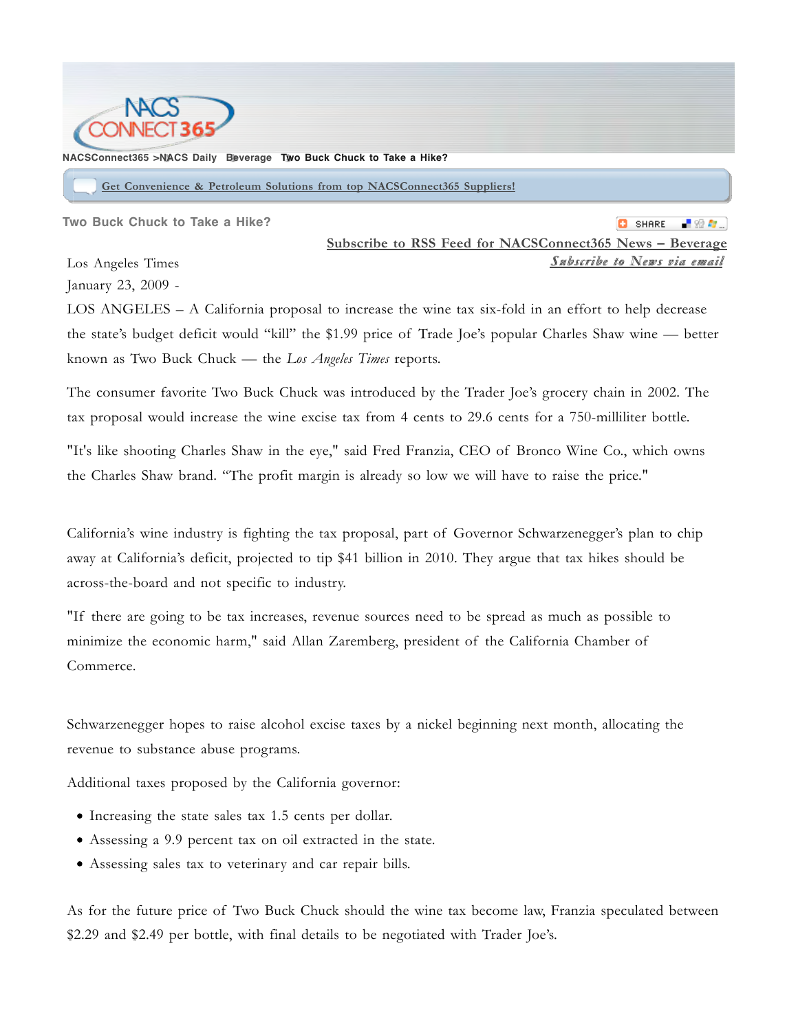

### **NACSConnect365 >NACS Daily Beverage Two Buck Chuck to Take a Hike?**

**Get Convenience & Petroleum Solutions from top NACSConnect365 Suppliers!**

**Two Buck Chuck to Take a Hike?**

**C** SHARE **Subscribe to RSS Feed for NACSConnect365 News – Beverage**  $S$ *ubscribe to News via email* 

Los Angeles Times January 23, 2009 -

LOS ANGELES – A California proposal to increase the wine tax six-fold in an effort to help decrease the state's budget deficit would "kill" the \$1.99 price of Trade Joe's popular Charles Shaw wine — better known as Two Buck Chuck — the *Los Angeles Times* reports.

The consumer favorite Two Buck Chuck was introduced by the Trader Joe's grocery chain in 2002. The tax proposal would increase the wine excise tax from 4 cents to 29.6 cents for a 750-milliliter bottle.

"It's like shooting Charles Shaw in the eye," said Fred Franzia, CEO of Bronco Wine Co., which owns the Charles Shaw brand. "The profit margin is already so low we will have to raise the price."

California's wine industry is fighting the tax proposal, part of Governor Schwarzenegger's plan to chip away at California's deficit, projected to tip \$41 billion in 2010. They argue that tax hikes should be across-the-board and not specific to industry.

"If there are going to be tax increases, revenue sources need to be spread as much as possible to minimize the economic harm," said Allan Zaremberg, president of the California Chamber of Commerce.

Schwarzenegger hopes to raise alcohol excise taxes by a nickel beginning next month, allocating the revenue to substance abuse programs.

Additional taxes proposed by the California governor:

- Increasing the state sales tax 1.5 cents per dollar.
- Assessing a 9.9 percent tax on oil extracted in the state.
- Assessing sales tax to veterinary and car repair bills.

As for the future price of Two Buck Chuck should the wine tax become law, Franzia speculated between \$2.29 and \$2.49 per bottle, with final details to be negotiated with Trader Joe's.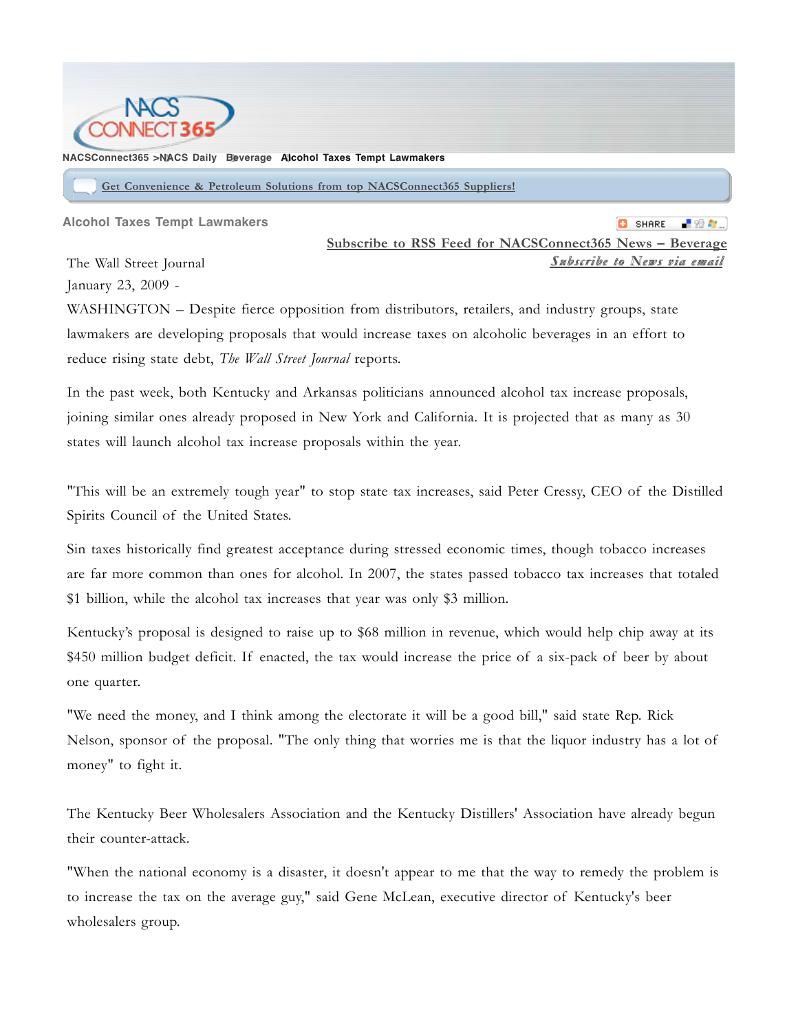

### **NACSConnect365 >NACS Daily Beverage Alcohol Taxes Tempt Lawmakers**

**Get Convenience & Petroleum Solutions from top NACSConnect365 Suppliers!**

**Alcohol Taxes Tempt Lawmakers**

**C** SHARE **Subscribe to RSS Feed for NACSConnect365 News – Beverage** *SSuubbssccrriibbee ttoo NNeewwss vviiaa eemmaaiill*

The Wall Street Journal January 23, 2009 -

WASHINGTON – Despite fierce opposition from distributors, retailers, and industry groups, state lawmakers are developing proposals that would increase taxes on alcoholic beverages in an effort to reduce rising state debt, *The Wall Street Journal* reports.

In the past week, both Kentucky and Arkansas politicians announced alcohol tax increase proposals, joining similar ones already proposed in New York and California. It is projected that as many as 30 states will launch alcohol tax increase proposals within the year.

"This will be an extremely tough year" to stop state tax increases, said Peter Cressy, CEO of the Distilled Spirits Council of the United States.

Sin taxes historically find greatest acceptance during stressed economic times, though tobacco increases are far more common than ones for alcohol. In 2007, the states passed tobacco tax increases that totaled \$1 billion, while the alcohol tax increases that year was only \$3 million.

Kentucky's proposal is designed to raise up to \$68 million in revenue, which would help chip away at its \$450 million budget deficit. If enacted, the tax would increase the price of a six-pack of beer by about one quarter.

"We need the money, and I think among the electorate it will be a good bill," said state Rep. Rick Nelson, sponsor of the proposal. "The only thing that worries me is that the liquor industry has a lot of money" to fight it.

The Kentucky Beer Wholesalers Association and the Kentucky Distillers' Association have already begun their counter-attack.

"When the national economy is a disaster, it doesn't appear to me that the way to remedy the problem is to increase the tax on the average guy," said Gene McLean, executive director of Kentucky's beer wholesalers group.